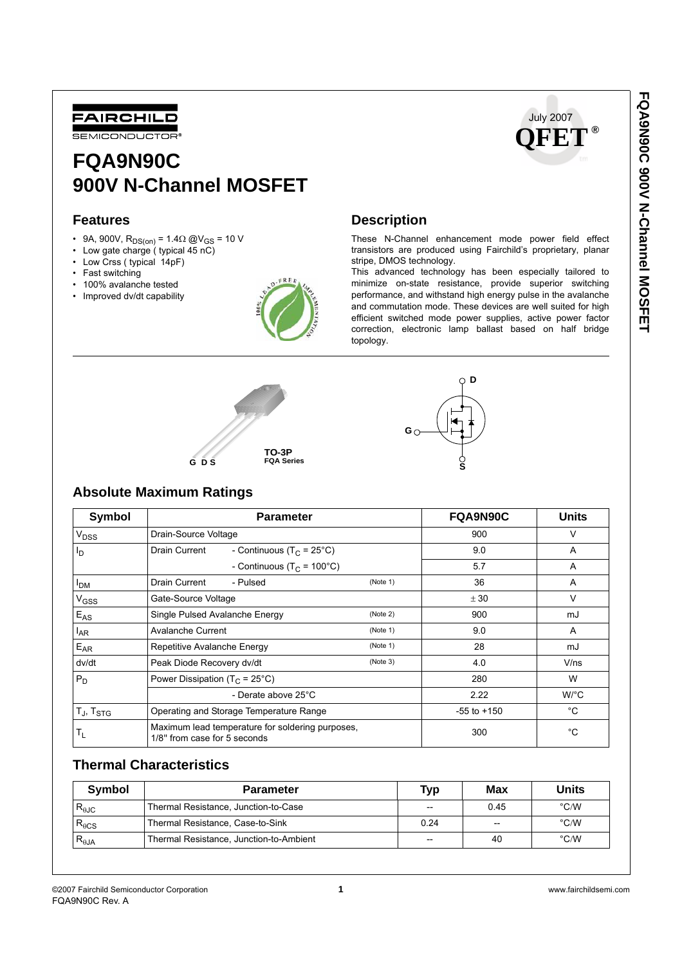

# **FQA9N90C 900V N-Channel MOSFET**

### **Features**

- 9A, 900V,  $\mathsf{R}_{\mathsf{DS(0n)}}$  = 1.4 $\Omega$  @V<sub>GS</sub> = 10 V
- Low gate charge ( typical 45 nC)
- Low Crss ( typical 14pF)
- Fast switching
- 100% avalanche tested
- Improved dv/dt capability





# **Description**

These N-Channel enhancement mode power field effect transistors are produced using Fairchild's proprietary, planar stripe, DMOS technology.

This advanced technology has been especially tailored to minimize on-state resistance, provide superior switching performance, and withstand high energy pulse in the avalanche and commutation mode. These devices are well suited for high efficient switched mode power supplies, active power factor correction, electronic lamp ballast based on half bridge topology.



# **D G**

## **Absolute Maximum Ratings**

| Symbol            | <b>Parameter</b>                                                                 | FQA9N90C        | <b>Units</b> |              |
|-------------------|----------------------------------------------------------------------------------|-----------------|--------------|--------------|
| V <sub>DSS</sub>  | Drain-Source Voltage                                                             | 900             | v            |              |
| l <sub>D</sub>    | Drain Current<br>- Continuous (T <sub>C</sub> = 25°C)                            | 9.0             | A            |              |
|                   | - Continuous (T <sub>C</sub> = 100°C)                                            | 5.7             | A            |              |
| <b>PDM</b>        | Drain Current<br>- Pulsed                                                        | (Note 1)        | 36           | A            |
| V <sub>GSS</sub>  | Gate-Source Voltage                                                              | ± 30            | V            |              |
| $E_{AS}$          | Single Pulsed Avalanche Energy                                                   | (Note 2)        | 900          | mJ           |
| $I_{AR}$          | <b>Avalanche Current</b>                                                         | (Note 1)        | 9.0          | A            |
| $E_{AR}$          | Repetitive Avalanche Energy                                                      | (Note 1)        | 28           | mJ           |
| dv/dt             | Peak Diode Recovery dv/dt                                                        | (Note 3)        | 4.0          | $V$ /ns      |
| $P_D$             | Power Dissipation ( $T_C = 25^{\circ}C$ )                                        |                 | 280          | W            |
|                   | - Derate above 25°C                                                              |                 | 2.22         | $W^{\circ}C$ |
| $T_J$ , $T_{STG}$ | Operating and Storage Temperature Range                                          | $-55$ to $+150$ | °C           |              |
| $T_{L}$           | Maximum lead temperature for soldering purposes,<br>1/8" from case for 5 seconds | 300             | °C           |              |

## **Thermal Characteristics**

| Symbol                 | <b>Parameter</b>                        | Typ   | Max   | Units         |
|------------------------|-----------------------------------------|-------|-------|---------------|
| $R_{\theta \text{JC}}$ | Thermal Resistance, Junction-to-Case    | $- -$ | 0.45  | $\degree$ C/W |
| $R_{\theta CS}$        | Thermal Resistance, Case-to-Sink        | 0.24  | $- -$ | $\degree$ C/W |
| $R_{\theta$ JA         | Thermal Resistance, Junction-to-Ambient | $- -$ | 40    | $\degree$ C/W |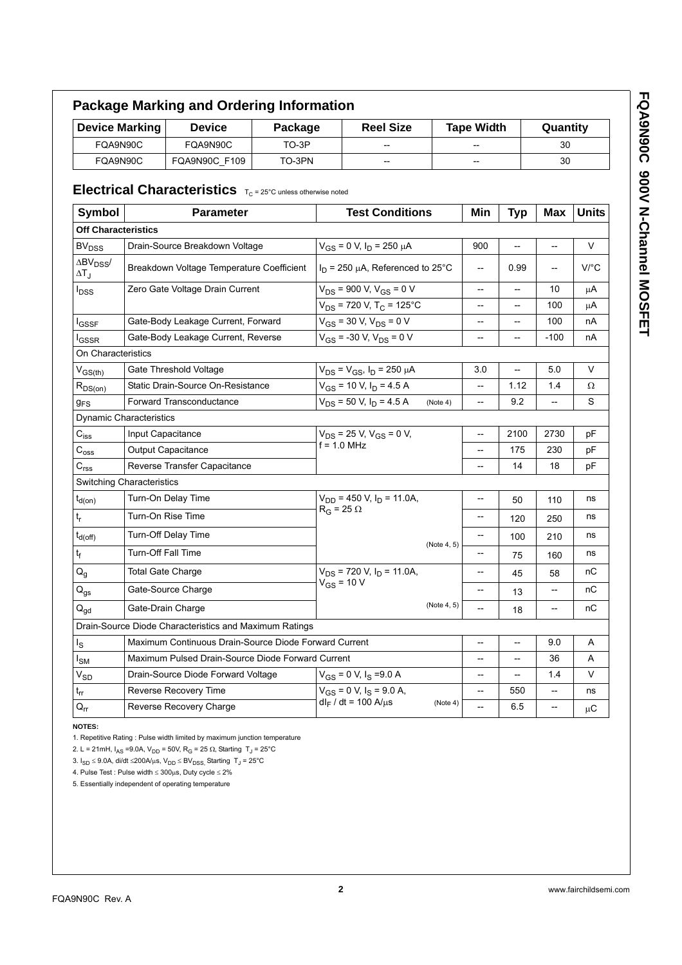|                                                              | <b>Device Marking</b><br><b>Device</b><br>Package<br>FQA9N90C           |                                                                             |                                            | <b>Reel Size</b>                                  |                                       | <b>Tape Width</b> |                                                     | Quantity   |            |              |
|--------------------------------------------------------------|-------------------------------------------------------------------------|-----------------------------------------------------------------------------|--------------------------------------------|---------------------------------------------------|---------------------------------------|-------------------|-----------------------------------------------------|------------|------------|--------------|
|                                                              |                                                                         |                                                                             | TO-3P<br>FQA9N90C                          |                                                   |                                       |                   |                                                     |            | 30         |              |
|                                                              | FQA9N90C<br>FQA9N90C_F109<br>TO-3PN                                     |                                                                             |                                            |                                                   |                                       |                   | 30                                                  |            |            |              |
|                                                              |                                                                         | <b>Electrical Characteristics</b> $T_c = 25^\circ$ C unless otherwise noted |                                            |                                                   |                                       |                   |                                                     |            |            |              |
| <b>Symbol</b>                                                |                                                                         | <b>Parameter</b>                                                            |                                            |                                                   | <b>Test Conditions</b>                |                   | Min                                                 | <b>Typ</b> | <b>Max</b> | <b>Units</b> |
| <b>Off Characteristics</b>                                   |                                                                         |                                                                             |                                            |                                                   |                                       |                   |                                                     |            |            |              |
| BV <sub>DSS</sub>                                            |                                                                         | Drain-Source Breakdown Voltage                                              |                                            |                                                   | $V_{GS}$ = 0 V, $I_D$ = 250 $\mu$ A   |                   | 900                                                 | --         | --         | V            |
| $\Delta \text{BV}_{\text{DSS}}/$<br>$\Delta$ T $_{\text{J}}$ |                                                                         | Breakdown Voltage Temperature Coefficient                                   |                                            |                                                   | $I_D$ = 250 µA, Referenced to 25°C    |                   | --                                                  | 0.99       | --         | $V$ /°C      |
| $I_{DSS}$                                                    |                                                                         | Zero Gate Voltage Drain Current                                             |                                            |                                                   | $V_{DS}$ = 900 V, $V_{GS}$ = 0 V      |                   | $\hspace{0.05cm} -\hspace{0.05cm} -\hspace{0.05cm}$ | --         | 10         | μA           |
|                                                              |                                                                         |                                                                             |                                            | $V_{DS}$ = 720 V, T <sub>C</sub> = 125°C          |                                       | --                | --                                                  | 100        | μA         |              |
| I <sub>GSSF</sub>                                            |                                                                         | Gate-Body Leakage Current, Forward                                          |                                            |                                                   | $V_{GS}$ = 30 V, $V_{DS}$ = 0 V       |                   | --                                                  | --         | 100        | nA           |
| <b>I</b> GSSR                                                |                                                                         | Gate-Body Leakage Current, Reverse                                          |                                            |                                                   | $V_{GS}$ = -30 V, $V_{DS}$ = 0 V      |                   | --                                                  | --         | $-100$     | nA           |
| On Characteristics                                           |                                                                         |                                                                             |                                            |                                                   |                                       |                   |                                                     |            |            |              |
| $V_{GS(th)}$                                                 |                                                                         | Gate Threshold Voltage                                                      |                                            |                                                   | $V_{DS} = V_{GS}$ , $I_D = 250 \mu A$ |                   | 3.0                                                 | --         | 5.0        | V            |
| $R_{DS(on)}$                                                 | Static Drain-Source On-Resistance                                       |                                                                             | $V_{GS}$ = 10 V, $I_D$ = 4.5 A             |                                                   | --                                    | 1.12              | 1.4                                                 | Ω          |            |              |
| 9 <sub>FS</sub>                                              | <b>Forward Transconductance</b>                                         |                                                                             | $V_{DS}$ = 50 V, $I_D$ = 4.5 A<br>(Note 4) |                                                   | --                                    | 9.2               | --                                                  | S          |            |              |
| <b>Dynamic Characteristics</b>                               |                                                                         |                                                                             |                                            |                                                   |                                       |                   |                                                     |            |            |              |
| $C_{iss}$                                                    | Input Capacitance<br>Output Capacitance<br>Reverse Transfer Capacitance |                                                                             |                                            | $V_{DS}$ = 25 V, $V_{GS}$ = 0 V,<br>$f = 1.0$ MHz |                                       | --                | 2100                                                | 2730       | pF         |              |
| $C_{\text{oss}}$                                             |                                                                         |                                                                             |                                            |                                                   |                                       | --                | 175                                                 | 230        | рF         |              |
| C <sub>rss</sub>                                             |                                                                         |                                                                             |                                            |                                                   |                                       | --                | 14                                                  | 18         | рF         |              |
| <b>Switching Characteristics</b>                             |                                                                         |                                                                             |                                            |                                                   |                                       |                   |                                                     |            |            |              |
| $t_{d(0n)}$                                                  |                                                                         | Turn-On Delay Time                                                          |                                            |                                                   | $V_{DD}$ = 450 V, $I_D$ = 11.0A,      |                   | --                                                  | 50         | 110        | ns           |
| $t_{r}$                                                      |                                                                         | Turn-On Rise Time                                                           |                                            |                                                   | $R_G$ = 25 $\Omega$                   |                   | --                                                  | 120        | 250        | ns           |
| $t_{d(off)}$                                                 |                                                                         | Turn-Off Delay Time                                                         |                                            |                                                   |                                       |                   | --                                                  | 100        | 210        | ns           |
| t <sub>f</sub>                                               | Turn-Off Fall Time                                                      |                                                                             |                                            |                                                   |                                       | (Note 4, 5)       |                                                     | 75         | 160        | ns           |
| $Q_{q}$                                                      | <b>Total Gate Charge</b>                                                |                                                                             |                                            |                                                   | $V_{DS}$ = 720 V, $I_D$ = 11.0A,      |                   | --                                                  | 45         | 58         | nС           |
| $\mathsf{Q}_{\mathsf{gs}}$                                   |                                                                         | Gate-Source Charge                                                          |                                            | $V_{GS}$ = 10 V                                   |                                       |                   | --                                                  | 13         | --         | nС           |
| $\mathsf{Q}_{\mathsf{gd}}$                                   |                                                                         | Gate-Drain Charge                                                           |                                            | (Note 4, 5)                                       |                                       | $-$               | 18                                                  | --         | nС         |              |
|                                                              |                                                                         | Drain-Source Diode Characteristics and Maximum Ratings                      |                                            |                                                   |                                       |                   |                                                     |            |            |              |
| $I_{\rm S}$                                                  |                                                                         | Maximum Continuous Drain-Source Diode Forward Current                       |                                            |                                                   |                                       |                   |                                                     | --         | 9.0        | Α            |
| $I_{SM}$                                                     |                                                                         | Maximum Pulsed Drain-Source Diode Forward Current                           |                                            |                                                   |                                       |                   | --                                                  | --         | 36         | Α            |
| $\mathsf{V}_{\mathsf{SD}}$                                   |                                                                         | Drain-Source Diode Forward Voltage                                          |                                            |                                                   | $V_{GS}$ = 0 V, $I_S$ = 9.0 A         |                   | --                                                  | --         | 1.4        | V            |
| $t_{rr}$                                                     |                                                                         | Reverse Recovery Time                                                       |                                            |                                                   | $V_{GS}$ = 0 V, $I_S$ = 9.0 A,        |                   | --                                                  | 550        | --         | ns           |
| $Q_{rr}$                                                     |                                                                         | Reverse Recovery Charge                                                     |                                            |                                                   | $dl_F/dt = 100$ A/ $\mu$ s            | (Note 4)          | --                                                  | 6.5        | --         | $\mu$ C      |

**NOTES:**

1. Repetitive Rating : Pulse width limited by maximum junction temperature

2. L = 21mH,  $I_{AS}$  =9.0A,  $V_{DD}$  = 50V, R<sub>G</sub> = 25  $\Omega$ , Starting T<sub>J</sub> = 25°C

3.  $I_{SD}$  ≤ 9.0A, di/dt ≤200A/µs, V<sub>DD</sub> ≤ BV<sub>DSS</sub>, Starting T<sub>J</sub> = 25°C

4. Pulse Test : Pulse width ≤ 300µs, Duty cycle ≤ 2%

5. Essentially independent of operating temperature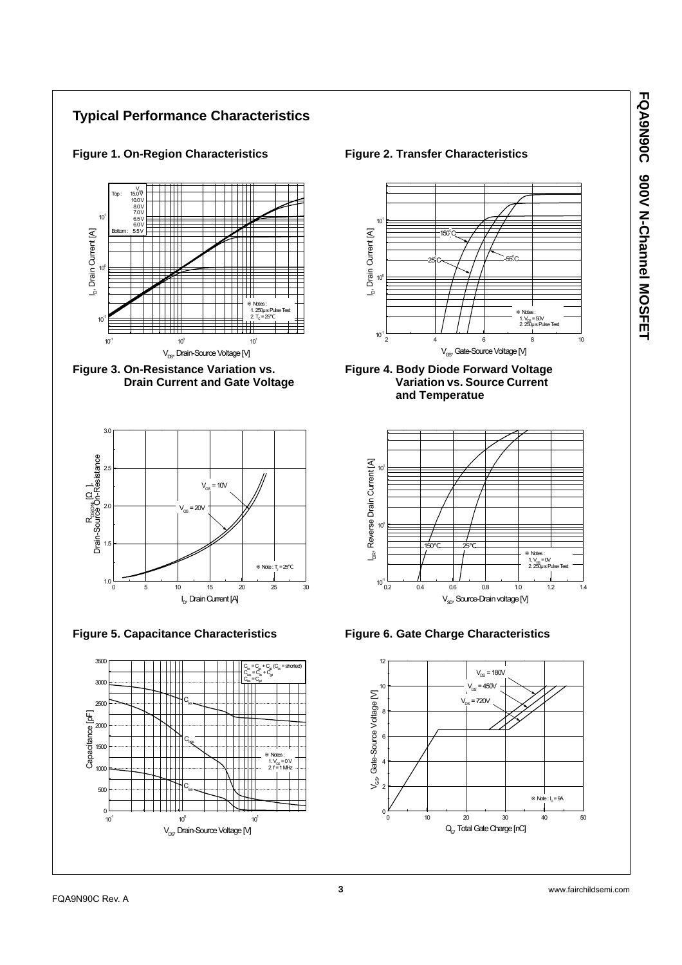









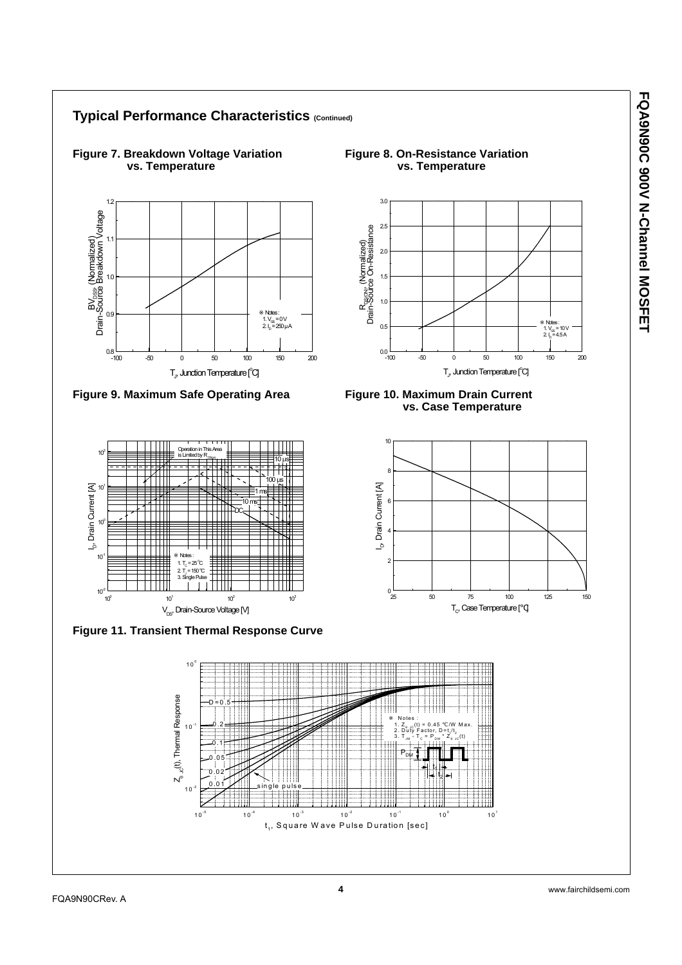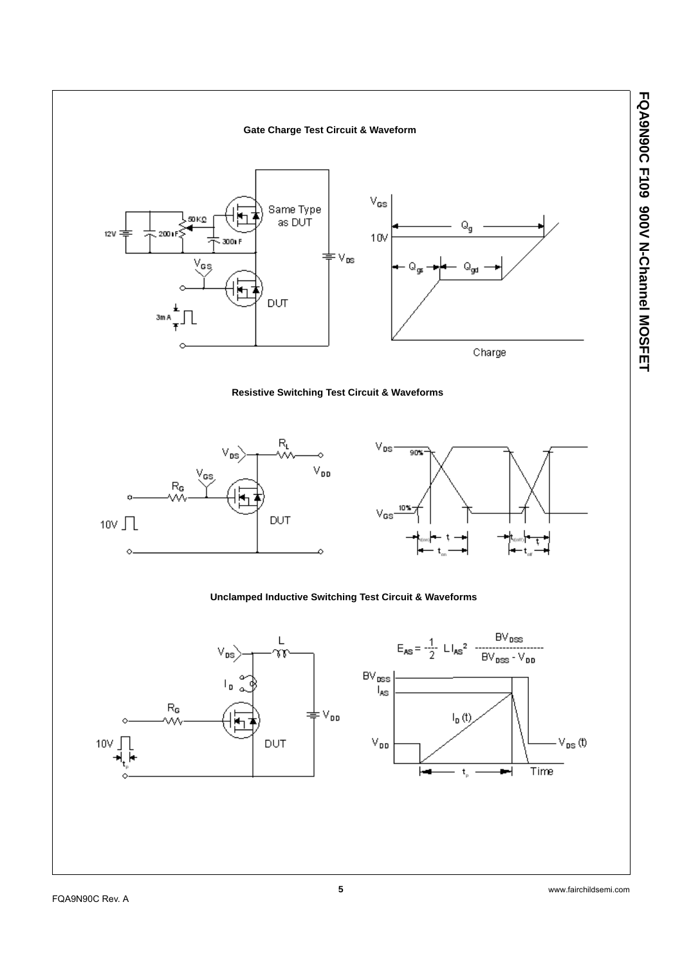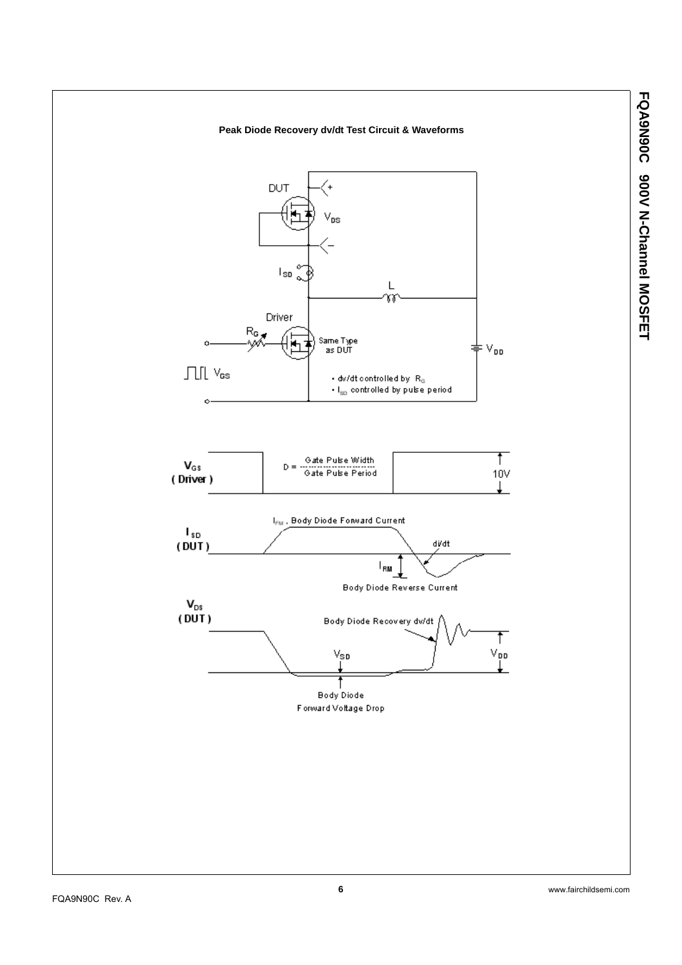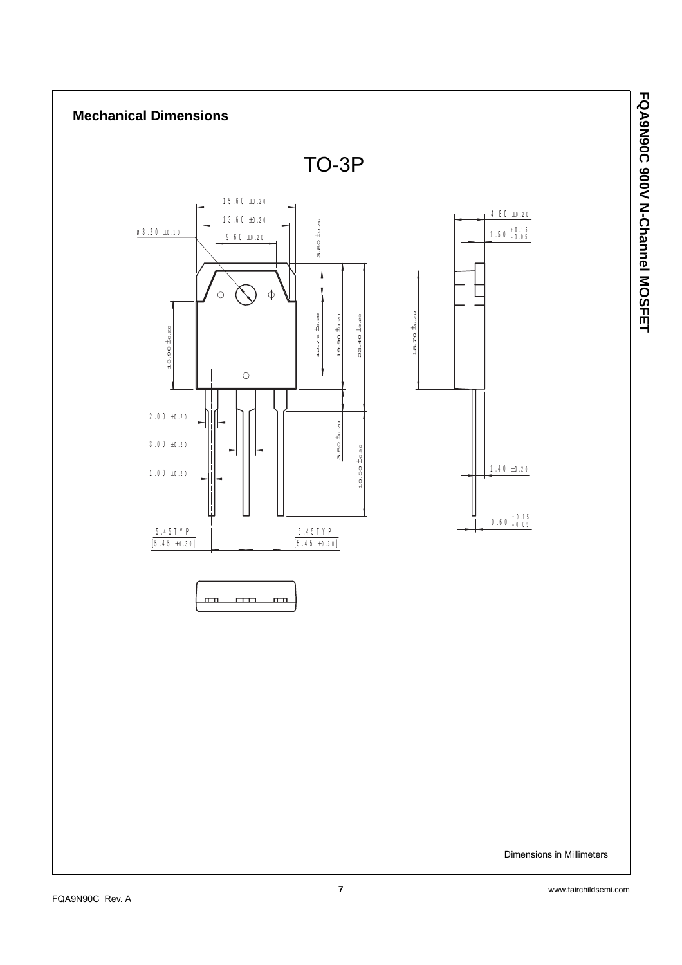

**7** www.fairchildsemi.com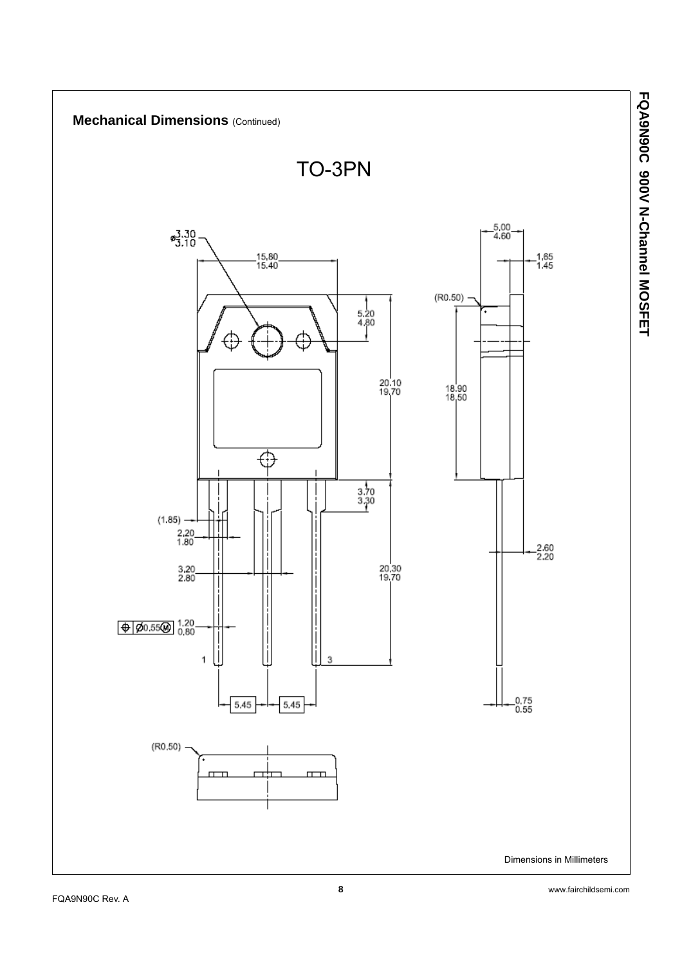